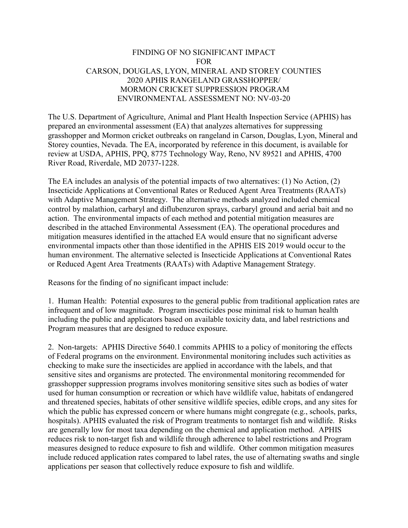## FINDING OF NO SIGNIFICANT IMPACT FOR CARSON, DOUGLAS, LYON, MINERAL AND STOREY COUNTIES 2020 APHIS RANGELAND GRASSHOPPER/ MORMON CRICKET SUPPRESSION PROGRAM ENVIRONMENTAL ASSESSMENT NO: NV-03-20

The U.S. Department of Agriculture, Animal and Plant Health Inspection Service (APHIS) has prepared an environmental assessment (EA) that analyzes alternatives for suppressing grasshopper and Mormon cricket outbreaks on rangeland in Carson, Douglas, Lyon, Mineral and Storey counties, Nevada. The EA, incorporated by reference in this document, is available for review at USDA, APHIS, PPQ, 8775 Technology Way, Reno, NV 89521 and APHIS, 4700 River Road, Riverdale, MD 20737-1228.

The EA includes an analysis of the potential impacts of two alternatives: (1) No Action, (2) Insecticide Applications at Conventional Rates or Reduced Agent Area Treatments (RAATs) with Adaptive Management Strategy. The alternative methods analyzed included chemical control by malathion, carbaryl and diflubenzuron sprays, carbaryl ground and aerial bait and no action. The environmental impacts of each method and potential mitigation measures are described in the attached Environmental Assessment (EA). The operational procedures and mitigation measures identified in the attached EA would ensure that no significant adverse environmental impacts other than those identified in the APHIS EIS 2019 would occur to the human environment. The alternative selected is Insecticide Applications at Conventional Rates or Reduced Agent Area Treatments (RAATs) with Adaptive Management Strategy.

Reasons for the finding of no significant impact include:

1. Human Health: Potential exposures to the general public from traditional application rates are infrequent and of low magnitude. Program insecticides pose minimal risk to human health including the public and applicators based on available toxicity data, and label restrictions and Program measures that are designed to reduce exposure.

2. Non-targets: APHIS Directive 5640.1 commits APHIS to a policy of monitoring the effects of Federal programs on the environment. Environmental monitoring includes such activities as checking to make sure the insecticides are applied in accordance with the labels, and that sensitive sites and organisms are protected. The environmental monitoring recommended for grasshopper suppression programs involves monitoring sensitive sites such as bodies of water used for human consumption or recreation or which have wildlife value, habitats of endangered and threatened species, habitats of other sensitive wildlife species, edible crops, and any sites for which the public has expressed concern or where humans might congregate (e.g., schools, parks, hospitals). APHIS evaluated the risk of Program treatments to nontarget fish and wildlife. Risks are generally low for most taxa depending on the chemical and application method. APHIS reduces risk to non-target fish and wildlife through adherence to label restrictions and Program measures designed to reduce exposure to fish and wildlife. Other common mitigation measures include reduced application rates compared to label rates, the use of alternating swaths and single applications per season that collectively reduce exposure to fish and wildlife.